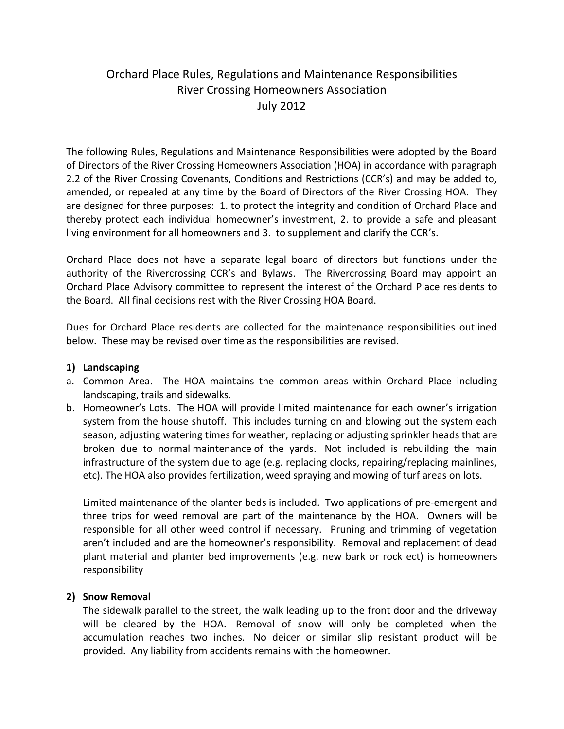# Orchard Place Rules, Regulations and Maintenance Responsibilities River Crossing Homeowners Association July 2012

The following Rules, Regulations and Maintenance Responsibilities were adopted by the Board of Directors of the River Crossing Homeowners Association (HOA) in accordance with paragraph 2.2 of the River Crossing Covenants, Conditions and Restrictions (CCR's) and may be added to, amended, or repealed at any time by the Board of Directors of the River Crossing HOA. They are designed for three purposes: 1. to protect the integrity and condition of Orchard Place and thereby protect each individual homeowner's investment, 2. to provide a safe and pleasant living environment for all homeowners and 3. to supplement and clarify the CCR's.

Orchard Place does not have a separate legal board of directors but functions under the authority of the Rivercrossing CCR's and Bylaws. The Rivercrossing Board may appoint an Orchard Place Advisory committee to represent the interest of the Orchard Place residents to the Board. All final decisions rest with the River Crossing HOA Board.

Dues for Orchard Place residents are collected for the maintenance responsibilities outlined below. These may be revised over time as the responsibilities are revised.

### **1) Landscaping**

- a. Common Area. The HOA maintains the common areas within Orchard Place including landscaping, trails and sidewalks.
- b. Homeowner's Lots. The HOA will provide limited maintenance for each owner's irrigation system from the house shutoff. This includes turning on and blowing out the system each season, adjusting watering times for weather, replacing or adjusting sprinkler heads that are broken due to normal maintenance of the yards. Not included is rebuilding the main infrastructure of the system due to age (e.g. replacing clocks, repairing/replacing mainlines, etc). The HOA also provides fertilization, weed spraying and mowing of turf areas on lots.

Limited maintenance of the planter beds is included. Two applications of pre-emergent and three trips for weed removal are part of the maintenance by the HOA. Owners will be responsible for all other weed control if necessary. Pruning and trimming of vegetation aren't included and are the homeowner's responsibility. Removal and replacement of dead plant material and planter bed improvements (e.g. new bark or rock ect) is homeowners responsibility

## **2) Snow Removal**

The sidewalk parallel to the street, the walk leading up to the front door and the driveway will be cleared by the HOA. Removal of snow will only be completed when the accumulation reaches two inches. No deicer or similar slip resistant product will be provided. Any liability from accidents remains with the homeowner.